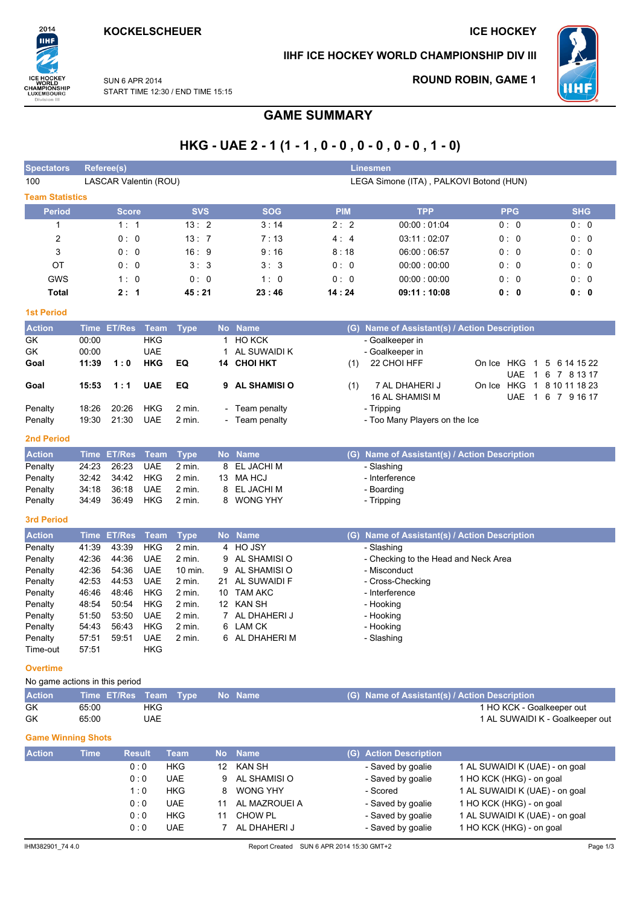2014

.<br>IIHF

ICE HOCKEY<br>WORLD<br>CHAMPIONSHIP<br>LUXEMBOURG<br>Division III

### **ICE HOCKEY**

### IIHF ICE HOCKEY WORLD CHAMPIONSHIP DIV III



**ROUND ROBIN, GAME 1** 

**SUN 6 APR 2014** START TIME 12:30 / END TIME 15:15

# **GAME SUMMARY**

|                                |                |                       |                          |                      |        |                            |            | HKG - UAE 2 - 1 (1 - 1, 0 - 0, 0 - 0, 0 - 0, 1 - 0)  |                                 |                   |
|--------------------------------|----------------|-----------------------|--------------------------|----------------------|--------|----------------------------|------------|------------------------------------------------------|---------------------------------|-------------------|
| <b>Spectators</b>              |                | <b>Referee(s)</b>     |                          |                      |        |                            |            | <b>Linesmen</b>                                      |                                 |                   |
| 100                            |                | LASCAR Valentin (ROU) |                          |                      |        |                            |            | LEGA Simone (ITA), PALKOVI Botond (HUN)              |                                 |                   |
| <b>Team Statistics</b>         |                |                       |                          |                      |        |                            |            |                                                      |                                 |                   |
| <b>Period</b>                  |                | <b>Score</b>          |                          | <b>SVS</b>           |        | <b>SOG</b>                 | <b>PIM</b> | <b>TPP</b>                                           | <b>PPG</b>                      | <b>SHG</b>        |
| 1                              |                | 1:1                   |                          | 13:2                 |        | 3:14                       | 2:2        | 00:00:01:04                                          | 0: 0                            | 0: 0              |
| 2                              |                | 0: 0                  |                          | 13:7                 |        | 7:13                       | 4:4        | 03:11:02:07                                          | 0: 0                            | 0: 0              |
| 3                              |                | 0:0                   |                          | 16:9                 |        | 9:16                       | 8:18       | 06:00:06:57                                          | 0: 0                            | 0: 0              |
| ОT                             |                | 0:0                   |                          | 3:3                  |        | 3:3                        | 0:0        | 00:00:00:00                                          | 0:0                             | 0: 0              |
| GWS<br><b>Total</b>            |                | 1:0                   |                          | 0: 0                 |        | 1:0                        | 0:0        | 00:00:00:00<br>09:11:10:08                           | 0: 0                            | 0: 0              |
|                                |                | 2:1                   |                          | 45 : 21              |        | 23:46                      | 14:24      |                                                      | 0: 0                            | 0: 0              |
| <b>1st Period</b>              |                |                       |                          |                      |        |                            |            |                                                      |                                 |                   |
| <b>Action</b>                  |                | Time ET/Res           | <b>Team</b>              | <b>Type</b>          |        | No Name                    |            | (G) Name of Assistant(s) / Action Description        |                                 |                   |
| GK<br>GK                       | 00:00<br>00:00 |                       | <b>HKG</b><br><b>UAE</b> |                      | 1      | 1 HO KCK<br>AL SUWAIDI K   |            | - Goalkeeper in<br>- Goalkeeper in                   |                                 |                   |
| Goal                           | 11:39          | 1:0                   | <b>HKG</b>               | EQ                   |        | 14 CHOI HKT                | (1)        | 22 CHOI HFF                                          | On Ice HKG<br>$\mathbf{1}$      | 5 6 14 15 22      |
|                                |                |                       |                          |                      |        |                            |            |                                                      | <b>UAE</b><br>$\mathbf{1}$      | 6 7 8 13 17       |
| Goal                           | 15:53          | 1:1                   | <b>UAE</b>               | EQ                   | 9      | <b>AL SHAMISI O</b>        | (1)        | 7 AL DHAHERI J                                       | On Ice HKG                      | 1 8 10 11 18 23   |
| Penalty                        | 18:26          | 20:26                 | HKG                      | $2$ min.             |        | Team penalty               |            | 16 AL SHAMISI M<br>- Tripping                        |                                 | UAE 1 6 7 9 16 17 |
| Penalty                        | 19:30          | 21:30                 | <b>UAE</b>               | 2 min.               |        | - Team penalty             |            | - Too Many Players on the Ice                        |                                 |                   |
| 2nd Period                     |                |                       |                          |                      |        |                            |            |                                                      |                                 |                   |
| <b>Action</b>                  |                | Time ET/Res           | Team                     | <b>Type</b>          |        | No Name                    |            | (G) Name of Assistant(s) / Action Description        |                                 |                   |
| Penalty                        | 24:23          | 26:23                 | <b>UAE</b>               | 2 min.               | 8      | EL JACHI M                 |            | - Slashing                                           |                                 |                   |
| Penalty                        | 32:42          | 34:42                 | HKG                      | $2$ min.             | 13     | <b>MA HCJ</b>              |            | - Interference                                       |                                 |                   |
| Penalty                        | 34:18          | 36:18                 | <b>UAE</b>               | 2 min.               | 8      | EL JACHI M                 |            | - Boarding                                           |                                 |                   |
| Penalty                        | 34:49          | 36:49                 | HKG                      | 2 min.               | 8      | <b>WONG YHY</b>            |            | - Tripping                                           |                                 |                   |
| 3rd Period                     |                |                       |                          |                      |        |                            |            |                                                      |                                 |                   |
| <b>Action</b>                  |                | <b>Time ET/Res</b>    | <b>Team</b>              | <b>Type</b>          |        | No Name                    |            | (G) Name of Assistant(s) / Action Description        |                                 |                   |
| Penalty                        | 41:39<br>42:36 | 43:39<br>44:36        | <b>HKG</b><br><b>UAE</b> | $2$ min.<br>$2$ min. |        | 4 HO JSY<br>AL SHAMISI O   |            | - Slashing                                           |                                 |                   |
| Penalty<br>Penalty             | 42:36          | 54:36                 | <b>UAE</b>               | 10 min.              | 9<br>9 | AL SHAMISI O               |            | - Checking to the Head and Neck Area<br>- Misconduct |                                 |                   |
| Penalty                        | 42:53          | 44:53                 | UAE                      | 2 min.               | 21     | AL SUWAIDI F               |            | - Cross-Checking                                     |                                 |                   |
| Penalty                        | 46:46          | 48:46                 | HKG                      | 2 min.               | 10     | <b>TAM AKC</b>             |            | - Interference                                       |                                 |                   |
| Penalty                        | 48:54          | 50:54                 | HKG                      | 2 min.               |        | 12 KAN SH                  |            | - Hooking                                            |                                 |                   |
| Penalty                        | 51:50          | 53:50                 | <b>UAE</b>               | 2 min.               |        | 7 AL DHAHERI J             |            | - Hooking                                            |                                 |                   |
| Penalty<br>Penalty             | 54:43<br>57:51 | 56:43<br>59:51        | <b>HKG</b><br><b>UAE</b> | 2 min.<br>$2$ min.   |        | 6 LAM CK<br>6 AL DHAHERI M |            | - Hooking<br>- Slashing                              |                                 |                   |
| Time-out                       | 57:51          |                       | HKG                      |                      |        |                            |            |                                                      |                                 |                   |
| <b>Overtime</b>                |                |                       |                          |                      |        |                            |            |                                                      |                                 |                   |
| No game actions in this period |                |                       |                          |                      |        |                            |            |                                                      |                                 |                   |
| <b>Action</b>                  |                | Time ET/Res Team      |                          | <b>Type</b>          |        | No Name                    |            | (G) Name of Assistant(s) / Action Description        |                                 |                   |
| GK                             | 65:00          |                       | <b>HKG</b>               |                      |        |                            |            |                                                      | 1 HO KCK - Goalkeeper out       |                   |
| GK                             | 65:00          |                       | <b>UAE</b>               |                      |        |                            |            |                                                      | 1 AL SUWAIDI K - Goalkeeper out |                   |
|                                |                |                       |                          |                      |        |                            |            |                                                      |                                 |                   |

### **Game Winning Shots**

| <b>Action</b> | <b>Time</b> | <b>Result</b> | <b>Team</b> | No. | <b>Name</b>   | (G) Action Description |                                |
|---------------|-------------|---------------|-------------|-----|---------------|------------------------|--------------------------------|
|               |             | 0:0           | <b>HKG</b>  | 12  | <b>KAN SH</b> | - Saved by goalie      | 1 AL SUWAIDI K (UAE) - on goal |
|               |             | 0:0           | <b>UAE</b>  | 9   | AL SHAMISI O  | - Saved by goalie      | 1 HO KCK (HKG) - on goal       |
|               |             | 1:0           | <b>HKG</b>  | 8   | WONG YHY      | - Scored               | 1 AL SUWAIDI K (UAE) - on goal |
|               |             | 0:0           | <b>UAE</b>  |     | AL MAZROUEI A | - Saved by goalie      | 1 HO KCK (HKG) - on goal       |
|               |             | 0:0           | <b>HKG</b>  |     | CHOW PL       | - Saved by goalie      | 1 AL SUWAIDI K (UAE) - on goal |
|               |             | 0:0           | <b>UAE</b>  |     | AL DHAHERI J  | - Saved by goalie      | 1 HO KCK (HKG) - on goal       |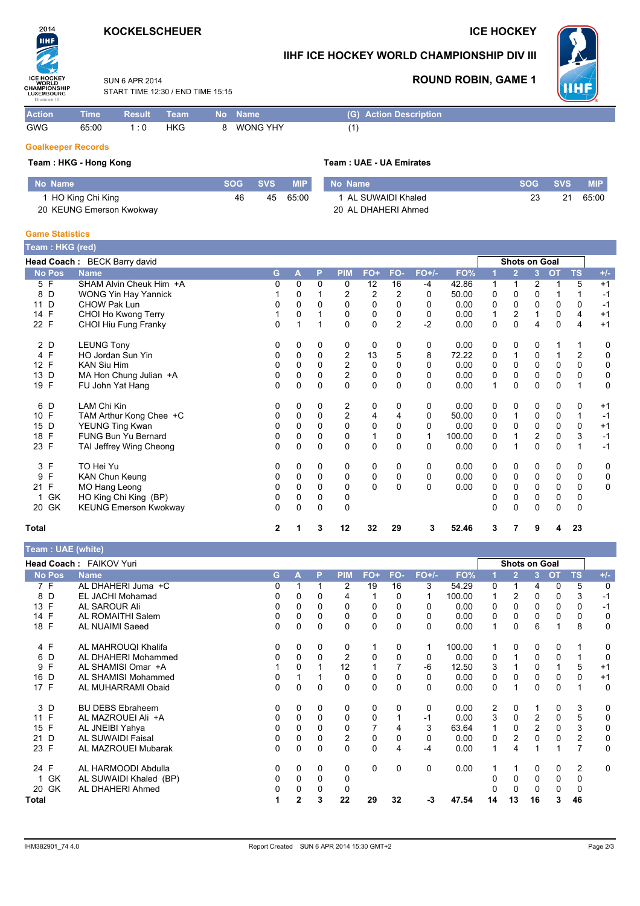## **KOCKELSCHEUER**

### **ICE HOCKEY**



### IIHF ICE HOCKEY WORLD CHAMPIONSHIP DIV III



**MIP** 65:00

 $\overline{21}$ 

**ROUND ROBIN, GAME 1** 

SUN 6 APR 2014 START TIME 12:30 / END TIME 15:15

| <b>Action</b> | $\blacksquare$ Time | Result Team |     | <b>No</b> Name | (G) Action Description |
|---------------|---------------------|-------------|-----|----------------|------------------------|
| GWG           | 65:00               | 1:0         | HKG | WONG YHY       |                        |

### **Goalkeeper Records**

| Team: HKG - Hong Kong    |            |            |            | Team : UAE - UA Emirates |            |    |
|--------------------------|------------|------------|------------|--------------------------|------------|----|
| l No Name                | <b>SOG</b> | <b>SVS</b> | <b>MIP</b> | No Name                  | <b>SOG</b> | -S |
| HO King Chi King         | 46         | 45         | 65:00      | 1 AL SUWAIDI Khaled      | 23         |    |
| 20 KEUNG Emerson Kwokway |            |            |            | 20 AL DHAHERI Ahmed      |            |    |

### **Game Statistics**

| Team: HKG (red)    |                              |   |              |             |                  |                |                |              |        |   |                |                |           |              |             |
|--------------------|------------------------------|---|--------------|-------------|------------------|----------------|----------------|--------------|--------|---|----------------|----------------|-----------|--------------|-------------|
|                    | Head Coach: BECK Barry david |   |              |             |                  |                |                |              |        |   | Shots on Goal  |                |           |              |             |
| <b>No Pos</b>      | <b>Name</b>                  | G | A            | P           | <b>PIM</b>       | FO+            | FO-            | $FO+/-$      | FO%    |   | $\overline{2}$ | 3 <sup>2</sup> | <b>OT</b> | <b>TS</b>    | $+/-$       |
| 5 F                | SHAM Alvin Cheuk Him +A      | 0 | 0            | 0           | 0                | 12             | 16             | -4           | 42.86  | 1 | 1              | 2              |           | 5            | $+1$        |
| 8<br>D             | <b>WONG Yin Hay Yannick</b>  |   | 0            |             | 2                | $\overline{c}$ | $\overline{2}$ | $\Omega$     | 50.00  | 0 | 0              | $\Omega$       |           |              | $-1$        |
| D<br>11            | <b>CHOW Pak Lun</b>          | 0 | $\Omega$     | $\Omega$    | $\Omega$         | $\mathbf 0$    | 0              | 0            | 0.00   | 0 | $\mathbf 0$    | 0              | 0         | 0            | $-1$        |
| F<br>14            | CHOI Ho Kwong Terry          |   | 0            |             | 0                | 0              | 0              | 0            | 0.00   | 1 | 2              | 1              | 0         | 4            | $+1$        |
| 22 F               | CHOI Hiu Fung Franky         | 0 |              |             | 0                | 0              | $\overline{2}$ | $-2$         | 0.00   | 0 | $\Omega$       | 4              | 0         | 4            | $+1$        |
| 2 D                | <b>LEUNG Tony</b>            | 0 | 0            | 0           | 0                | 0              | 0              | 0            | 0.00   | 0 | 0              | 0              |           |              | 0           |
| 4 F                | HO Jordan Sun Yin            | 0 | 0            | $\mathbf 0$ | 2                | 13             | 5              | 8            | 72.22  | 0 | 1              | 0              |           | 2            | 0           |
| F<br>12            | <b>KAN Siu Him</b>           | 0 | 0            | 0           | $\boldsymbol{2}$ | 0              | 0              | 0            | 0.00   | 0 | $\mathbf 0$    | $\mathbf 0$    | 0         | 0            | 0           |
| D<br>13            | MA Hon Chung Julian +A       | 0 | $\mathbf{0}$ | $\Omega$    | 2                | 0              | $\Omega$       | 0            | 0.00   | 0 | $\Omega$       | $\Omega$       | $\Omega$  | $\Omega$     | 0           |
| 19 F               | FU John Yat Hang             | 0 | $\Omega$     | 0           | $\Omega$         | $\mathbf{0}$   | $\Omega$       | 0            | 0.00   | 1 | $\Omega$       | 0              | 0         |              | $\mathbf 0$ |
| D<br>6             | <b>LAM Chi Kin</b>           | 0 | 0            | 0           | 2                | 0              | 0              | 0            | 0.00   | 0 | 0              | 0              | 0         | 0            | $+1$        |
| F<br>10            | TAM Arthur Kong Chee +C      | 0 | 0            | $\mathbf 0$ | $\overline{c}$   | 4              | 4              | 0            | 50.00  | 0 | 1              | 0              | 0         | $\mathbf{1}$ | $-1$        |
| D<br>15            | YEUNG Ting Kwan              | 0 | $\Omega$     | $\Omega$    | 0                | 0              | $\Omega$       | $\mathbf{0}$ | 0.00   | 0 | 0              | $\mathbf 0$    | 0         | 0            | $+1$        |
| F<br>18            | <b>FUNG Bun Yu Bernard</b>   | 0 | $\mathbf 0$  | 0           | 0                | 1              | 0              | 1            | 100.00 | 0 |                | $\overline{c}$ | $\pmb{0}$ | $\mathsf 3$  | $-1$        |
| 23 F               | TAI Jeffrey Wing Cheong      | 0 | $\Omega$     | $\Omega$    | $\Omega$         | $\Omega$       | $\Omega$       | 0            | 0.00   | 0 |                | $\Omega$       | $\Omega$  |              | $-1$        |
| F<br>3             | TO Hei Yu                    | 0 | 0            | 0           | 0                | 0              | 0              | 0            | 0.00   | 0 | 0              | 0              | 0         | 0            | 0           |
| F<br>9             | <b>KAN Chun Keung</b>        | 0 | $\Omega$     | $\Omega$    | 0                | 0              | 0              | $\Omega$     | 0.00   | 0 | 0              | 0              | 0         | 0            | 0           |
| $\mathsf{F}$<br>21 | MO Hang Leong                | 0 | 0            | $\mathbf 0$ | 0                | $\Omega$       | $\mathbf{0}$   | $\Omega$     | 0.00   | 0 | $\mathbf 0$    | $\mathbf 0$    | $\pmb{0}$ | $\mathbf 0$  | 0           |
| GK                 | HO King Chi King (BP)        | 0 | 0            | 0           | 0                |                |                |              |        | 0 | 0              | 0              | 0         | 0            |             |
| 20 GK              | <b>KEUNG Emerson Kwokway</b> | 0 | $\mathbf 0$  | 0           | 0                |                |                |              |        | 0 | $\Omega$       | $\Omega$       | 0         | 0            |             |
| <b>Total</b>       |                              | 2 |              | 3           | 12               | 32             | 29             | 3            | 52.46  | 3 | 7              | 9              | 4         | 23           |             |

| <b>leam : UAE (White)</b> |                          |                      |          |              |                |     |          |         |        |    |                |                |          |                |             |
|---------------------------|--------------------------|----------------------|----------|--------------|----------------|-----|----------|---------|--------|----|----------------|----------------|----------|----------------|-------------|
|                           | Head Coach: FAIKOV Yuri  | <b>Shots on Goal</b> |          |              |                |     |          |         |        |    |                |                |          |                |             |
| <b>No Pos</b>             | <b>Name</b>              | G.                   | A        | P            | <b>PIM</b>     | FO+ | FO-      | $FO+/-$ | FO%    |    | $\overline{2}$ | 3              | OT       | <b>TS</b>      | $+/-$       |
| 7 F                       | AL DHAHERI Juma +C       |                      |          |              | 2              | 19  | 16       | 3       | 54.29  | 0  |                | 4              | 0        | 5              | $\Omega$    |
| D<br>8                    | EL JACHI Mohamad         |                      | 0        | 0            | 4              |     | 0        |         | 100.00 |    | $\overline{c}$ | 0              | 0        | 3              | $-1$        |
| F<br>13                   | AL SAROUR Ali            |                      |          |              | 0              | 0   |          | 0       | 0.00   | 0  | 0              |                | 0        | $\Omega$       | $-1$        |
| 14 F                      | AL ROMAITHI Salem        |                      | 0        | $\Omega$     | 0              | 0   | 0        | 0       | 0.00   | 0  | 0              | $\Omega$       | 0        | 0              | 0           |
| 18 F                      | AL NUAIMI Saeed          | 0                    | 0        | $\Omega$     | $\Omega$       | 0   | 0        | 0       | 0.00   |    | 0              | 6              |          | 8              | $\Omega$    |
| 4 F                       | AL MAHROUQI Khalifa      | 0                    | 0        | 0            | 0              |     | 0        | 1       | 100.00 |    | 0              | 0              | 0        |                | 0           |
| 6 D                       | AL DHAHERI Mohammed      |                      | 0        | $\Omega$     | $\overline{2}$ | 0   | $\Omega$ | 0       | 0.00   | 0  |                | 0              | 0        |                | $\Omega$    |
| F<br>9                    | AL SHAMISI Omar +A       |                      | 0        |              | 12             |     |          | -6      | 12.50  | 3  |                | $\Omega$       |          | 5              | $+1$        |
| D<br>16                   | AL SHAMISI Mohammed      | 0                    |          |              | 0              | 0   | 0        | 0       | 0.00   | 0  | 0              | 0              | 0        | $\Omega$       | $+1$        |
| 17 F                      | AL MUHARRAMI Obaid       | 0                    | 0        | $\mathbf 0$  | $\mathbf 0$    | 0   | $\Omega$ | 0       | 0.00   | 0  | 1              | 0              | 0        | 1              | $\Omega$    |
| 3 D                       | <b>BU DEBS Ebraheem</b>  | 0                    | 0        | 0            | 0              | 0   | 0        | 0       | 0.00   | 2  | 0              |                | 0        | 3              | 0           |
| F<br>11                   | AL MAZROUEI Ali +A       |                      | 0        | $\Omega$     | 0              | 0   |          | $-1$    | 0.00   | 3  | 0              | $\overline{c}$ | $\Omega$ | 5              | 0           |
| 15 F                      | AL JNEIBI Yahya          |                      |          | 0            | 0              |     | 4        | 3       | 63.64  |    | 0              | 2              | 0        | 3              | 0           |
| 21 D                      | <b>AL SUWAIDI Faisal</b> | 0                    | 0        | $\Omega$     | $\overline{2}$ | 0   | 0        | 0       | 0.00   | 0  | 2              | 0              | 0        | $\overline{2}$ | $\mathbf 0$ |
| 23 F                      | AL MAZROUEI Mubarak      | 0                    | 0        | 0            | 0              | 0   | 4        | $-4$    | 0.00   |    | 4              |                |          | 7              | $\Omega$    |
| 24 F                      | AL HARMOODI Abdulla      | 0                    | $\Omega$ | $\mathbf{0}$ | $\Omega$       | 0   | 0        | 0       | 0.00   |    |                | $\Omega$       | 0        | $\overline{2}$ | $\Omega$    |
| GK                        | AL SUWAIDI Khaled (BP)   | 0                    | 0        | $\Omega$     | 0              |     |          |         |        |    | 0              | $\Omega$       | 0        | 0              |             |
| 20 GK                     | AL DHAHERI Ahmed         |                      |          | $\Omega$     | 0              |     |          |         |        |    | 0              |                | 0        | 0              |             |
| Total                     |                          |                      | 2        | 3            | 22             | 29  | 32       | -3      | 47.54  | 14 | 13             | 16             | 3        | 46             |             |